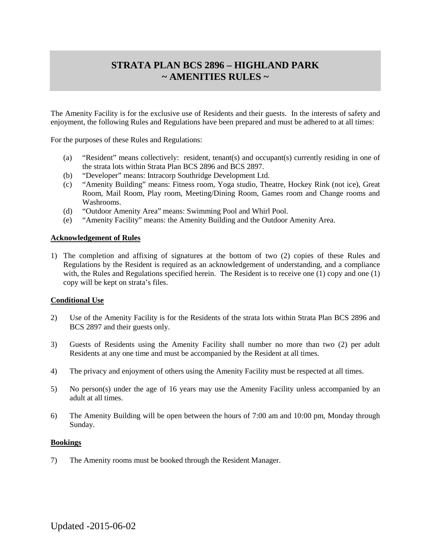# **STRATA PLAN BCS 2896 – HIGHLAND PARK ~ AMENITIES RULES ~**

The Amenity Facility is for the exclusive use of Residents and their guests. In the interests of safety and enjoyment, the following Rules and Regulations have been prepared and must be adhered to at all times:

For the purposes of these Rules and Regulations:

- (a) "Resident" means collectively: resident, tenant(s) and occupant(s) currently residing in one of the strata lots within Strata Plan BCS 2896 and BCS 2897.
- (b) "Developer" means: Intracorp Southridge Development Ltd.
- (c) "Amenity Building" means: Fitness room, Yoga studio, Theatre, Hockey Rink (not ice), Great Room, Mail Room, Play room, Meeting/Dining Room, Games room and Change rooms and Washrooms.
- (d) "Outdoor Amenity Area" means: Swimming Pool and Whirl Pool.
- (e) "Amenity Facility" means: the Amenity Building and the Outdoor Amenity Area.

## **Acknowledgement of Rules**

1) The completion and affixing of signatures at the bottom of two (2) copies of these Rules and Regulations by the Resident is required as an acknowledgement of understanding, and a compliance with, the Rules and Regulations specified herein. The Resident is to receive one (1) copy and one (1) copy will be kept on strata's files.

#### **Conditional Use**

- 2) Use of the Amenity Facility is for the Residents of the strata lots within Strata Plan BCS 2896 and BCS 2897 and their guests only.
- 3) Guests of Residents using the Amenity Facility shall number no more than two (2) per adult Residents at any one time and must be accompanied by the Resident at all times.
- 4) The privacy and enjoyment of others using the Amenity Facility must be respected at all times.
- 5) No person(s) under the age of 16 years may use the Amenity Facility unless accompanied by an adult at all times.
- 6) The Amenity Building will be open between the hours of 7:00 am and 10:00 pm, Monday through Sunday.

#### **Bookings**

7) The Amenity rooms must be booked through the Resident Manager.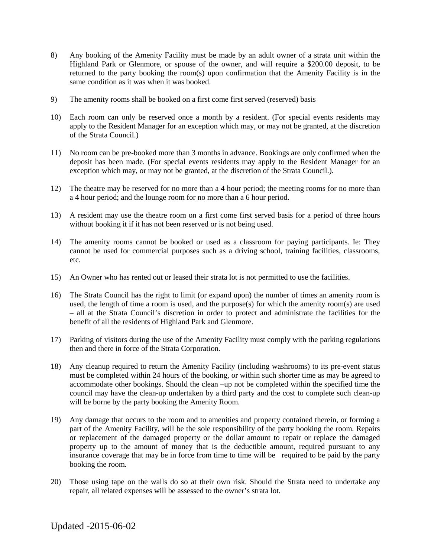- 8) Any booking of the Amenity Facility must be made by an adult owner of a strata unit within the Highland Park or Glenmore, or spouse of the owner, and will require a \$200.00 deposit, to be returned to the party booking the room(s) upon confirmation that the Amenity Facility is in the same condition as it was when it was booked.
- 9) The amenity rooms shall be booked on a first come first served (reserved) basis
- 10) Each room can only be reserved once a month by a resident. (For special events residents may apply to the Resident Manager for an exception which may, or may not be granted, at the discretion of the Strata Council.)
- 11) No room can be pre-booked more than 3 months in advance. Bookings are only confirmed when the deposit has been made. (For special events residents may apply to the Resident Manager for an exception which may, or may not be granted, at the discretion of the Strata Council.).
- 12) The theatre may be reserved for no more than a 4 hour period; the meeting rooms for no more than a 4 hour period; and the lounge room for no more than a 6 hour period.
- 13) A resident may use the theatre room on a first come first served basis for a period of three hours without booking it if it has not been reserved or is not being used.
- 14) The amenity rooms cannot be booked or used as a classroom for paying participants. Ie: They cannot be used for commercial purposes such as a driving school, training facilities, classrooms, etc.
- 15) An Owner who has rented out or leased their strata lot is not permitted to use the facilities.
- 16) The Strata Council has the right to limit (or expand upon) the number of times an amenity room is used, the length of time a room is used, and the purpose(s) for which the amenity room(s) are used – all at the Strata Council's discretion in order to protect and administrate the facilities for the benefit of all the residents of Highland Park and Glenmore.
- 17) Parking of visitors during the use of the Amenity Facility must comply with the parking regulations then and there in force of the Strata Corporation.
- 18) Any cleanup required to return the Amenity Facility (including washrooms) to its pre-event status must be completed within 24 hours of the booking, or within such shorter time as may be agreed to accommodate other bookings. Should the clean –up not be completed within the specified time the council may have the clean-up undertaken by a third party and the cost to complete such clean-up will be borne by the party booking the Amenity Room.
- 19) Any damage that occurs to the room and to amenities and property contained therein, or forming a part of the Amenity Facility, will be the sole responsibility of the party booking the room. Repairs or replacement of the damaged property or the dollar amount to repair or replace the damaged property up to the amount of money that is the deductible amount, required pursuant to any insurance coverage that may be in force from time to time will be required to be paid by the party booking the room.
- 20) Those using tape on the walls do so at their own risk. Should the Strata need to undertake any repair, all related expenses will be assessed to the owner's strata lot.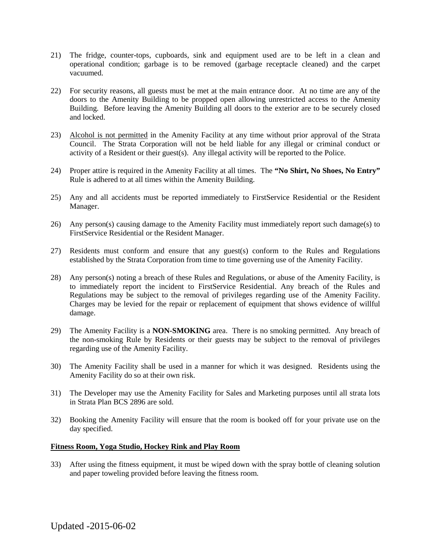- 21) The fridge, counter-tops, cupboards, sink and equipment used are to be left in a clean and operational condition; garbage is to be removed (garbage receptacle cleaned) and the carpet vacuumed.
- 22) For security reasons, all guests must be met at the main entrance door. At no time are any of the doors to the Amenity Building to be propped open allowing unrestricted access to the Amenity Building. Before leaving the Amenity Building all doors to the exterior are to be securely closed and locked.
- 23) Alcohol is not permitted in the Amenity Facility at any time without prior approval of the Strata Council. The Strata Corporation will not be held liable for any illegal or criminal conduct or activity of a Resident or their guest(s). Any illegal activity will be reported to the Police.
- 24) Proper attire is required in the Amenity Facility at all times. The **"No Shirt, No Shoes, No Entry"** Rule is adhered to at all times within the Amenity Building.
- 25) Any and all accidents must be reported immediately to FirstService Residential or the Resident Manager.
- 26) Any person(s) causing damage to the Amenity Facility must immediately report such damage(s) to FirstService Residential or the Resident Manager.
- 27) Residents must conform and ensure that any guest(s) conform to the Rules and Regulations established by the Strata Corporation from time to time governing use of the Amenity Facility.
- 28) Any person(s) noting a breach of these Rules and Regulations, or abuse of the Amenity Facility, is to immediately report the incident to FirstService Residential. Any breach of the Rules and Regulations may be subject to the removal of privileges regarding use of the Amenity Facility. Charges may be levied for the repair or replacement of equipment that shows evidence of willful damage.
- 29) The Amenity Facility is a **NON-SMOKING** area. There is no smoking permitted. Any breach of the non-smoking Rule by Residents or their guests may be subject to the removal of privileges regarding use of the Amenity Facility.
- 30) The Amenity Facility shall be used in a manner for which it was designed. Residents using the Amenity Facility do so at their own risk.
- 31) The Developer may use the Amenity Facility for Sales and Marketing purposes until all strata lots in Strata Plan BCS 2896 are sold.
- 32) Booking the Amenity Facility will ensure that the room is booked off for your private use on the day specified.

## **Fitness Room, Yoga Studio, Hockey Rink and Play Room**

33) After using the fitness equipment, it must be wiped down with the spray bottle of cleaning solution and paper toweling provided before leaving the fitness room.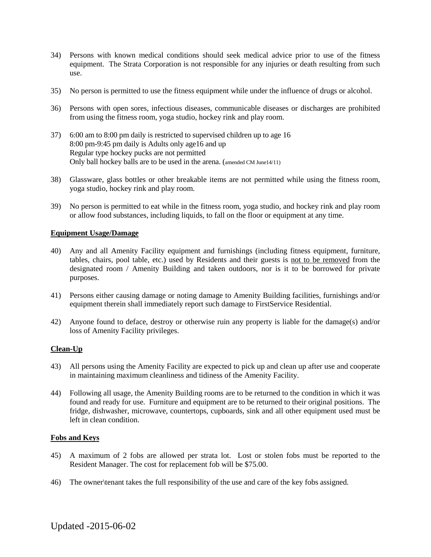- 34) Persons with known medical conditions should seek medical advice prior to use of the fitness equipment. The Strata Corporation is not responsible for any injuries or death resulting from such use.
- 35) No person is permitted to use the fitness equipment while under the influence of drugs or alcohol.
- 36) Persons with open sores, infectious diseases, communicable diseases or discharges are prohibited from using the fitness room, yoga studio, hockey rink and play room.
- 37) 6:00 am to 8:00 pm daily is restricted to supervised children up to age 16 8:00 pm-9:45 pm daily is Adults only age16 and up Regular type hockey pucks are not permitted Only ball hockey balls are to be used in the arena. (amended CM June14/11)
- 38) Glassware, glass bottles or other breakable items are not permitted while using the fitness room, yoga studio, hockey rink and play room.
- 39) No person is permitted to eat while in the fitness room, yoga studio, and hockey rink and play room or allow food substances, including liquids, to fall on the floor or equipment at any time.

# **Equipment Usage/Damage**

- 40) Any and all Amenity Facility equipment and furnishings (including fitness equipment, furniture, tables, chairs, pool table, etc.) used by Residents and their guests is not to be removed from the designated room / Amenity Building and taken outdoors, nor is it to be borrowed for private purposes.
- 41) Persons either causing damage or noting damage to Amenity Building facilities, furnishings and/or equipment therein shall immediately report such damage to FirstService Residential.
- 42) Anyone found to deface, destroy or otherwise ruin any property is liable for the damage(s) and/or loss of Amenity Facility privileges.

#### **Clean-Up**

- 43) All persons using the Amenity Facility are expected to pick up and clean up after use and cooperate in maintaining maximum cleanliness and tidiness of the Amenity Facility.
- 44) Following all usage, the Amenity Building rooms are to be returned to the condition in which it was found and ready for use. Furniture and equipment are to be returned to their original positions. The fridge, dishwasher, microwave, countertops, cupboards, sink and all other equipment used must be left in clean condition.

#### **Fobs and Keys**

- 45) A maximum of 2 fobs are allowed per strata lot. Lost or stolen fobs must be reported to the Resident Manager. The cost for replacement fob will be \$75.00.
- 46) The owner\tenant takes the full responsibility of the use and care of the key fobs assigned.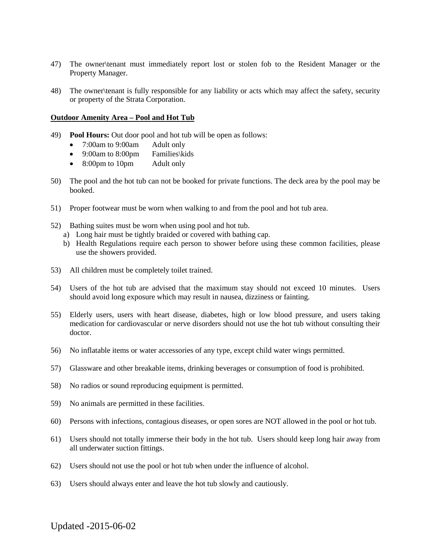- 47) The owner\tenant must immediately report lost or stolen fob to the Resident Manager or the Property Manager.
- 48) The owner\tenant is fully responsible for any liability or acts which may affect the safety, security or property of the Strata Corporation.

## **Outdoor Amenity Area – Pool and Hot Tub**

- 49) **Pool Hours:** Out door pool and hot tub will be open as follows:
	- 7:00am to 9:00am Adult only
	- 9:00am to 8:00pm Families\kids
	- 8:00pm to 10pm Adult only
- 50) The pool and the hot tub can not be booked for private functions. The deck area by the pool may be booked.
- 51) Proper footwear must be worn when walking to and from the pool and hot tub area.
- 52) Bathing suites must be worn when using pool and hot tub.
	- a) Long hair must be tightly braided or covered with bathing cap.
	- b) Health Regulations require each person to shower before using these common facilities, please use the showers provided.
- 53) All children must be completely toilet trained.
- 54) Users of the hot tub are advised that the maximum stay should not exceed 10 minutes. Users should avoid long exposure which may result in nausea, dizziness or fainting.
- 55) Elderly users, users with heart disease, diabetes, high or low blood pressure, and users taking medication for cardiovascular or nerve disorders should not use the hot tub without consulting their doctor.
- 56) No inflatable items or water accessories of any type, except child water wings permitted.
- 57) Glassware and other breakable items, drinking beverages or consumption of food is prohibited.
- 58) No radios or sound reproducing equipment is permitted.
- 59) No animals are permitted in these facilities.
- 60) Persons with infections, contagious diseases, or open sores are NOT allowed in the pool or hot tub.
- 61) Users should not totally immerse their body in the hot tub. Users should keep long hair away from all underwater suction fittings.
- 62) Users should not use the pool or hot tub when under the influence of alcohol.
- 63) Users should always enter and leave the hot tub slowly and cautiously.